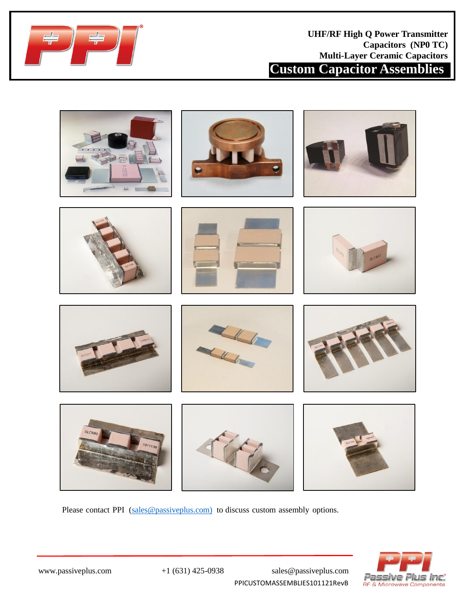



Please contact PPI ([sales@passiveplus.com\)](mailto:sales@passiveplus.com) to discuss custom assembly options.



PPICUSTOMASSEMBLIES101121RevB

www.passiveplus.com +1 (631) 425-0938 sales@passiveplus.com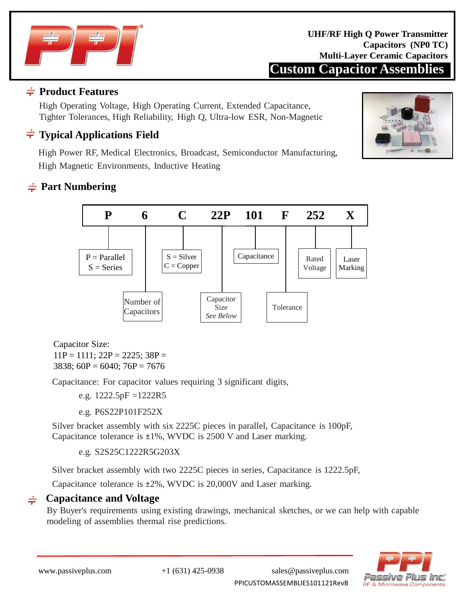

**Custom Capacitor Assemblies UHF/RF High Q Power Transmitter Capacitors (NP0 TC) Multi-Layer Ceramic Capacitors**

### **Product Features**

High Operating Voltage, High Operating Current, Extended Capacitance, Tighter Tolerances, High Reliability, High Q, Ultra-low ESR, Non-Magnetic

# **Typical Applications Field**

High Power RF, Medical Electronics, Broadcast, Semiconductor Manufacturing, High Magnetic Environments, Inductive Heating

# **Part Numbering**



Capacitor Size:  $11P = 1111$ ;  $22P = 2225$ ;  $38P =$ 3838;  $60P = 6040$ ;  $76P = 7676$ 

Capacitance: For capacitor values requiring 3 significant digits,

e.g.  $1222.5pF = 1222R5$ 

e.g. P6S22P101F252X

Silver bracket assembly with six 2225C pieces in parallel, Capacitance is 100pF, Capacitance tolerance is ±1%, WVDC is 2500 V and Laser marking.

e.g. S2S25C1222R5G203X

Silver bracket assembly with two 2225C pieces in series, Capacitance is 1222.5pF,

Capacitance tolerance is ±2%, WVDC is 20,000V and Laser marking.

#### **Capacitance and Voltage**

By Buyer's requirements using existing drawings, mechanical sketches, or we can help with capable modeling of assemblies thermal rise predictions.



www.passiveplus.com +1 (631) 425-0938 sales@passiveplus.com

PPICUSTOMASSEMBLIES101121RevB